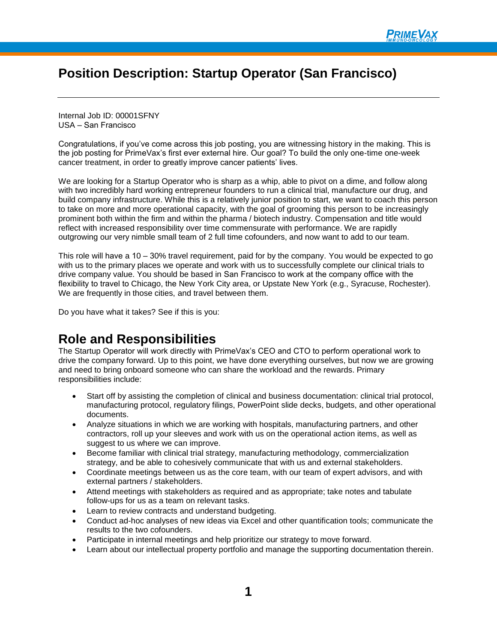# **Position Description: Startup Operator (San Francisco)**

Internal Job ID: 00001SFNY USA – San Francisco

Congratulations, if you've come across this job posting, you are witnessing history in the making. This is the job posting for PrimeVax's first ever external hire. Our goal? To build the only one-time one-week cancer treatment, in order to greatly improve cancer patients' lives.

We are looking for a Startup Operator who is sharp as a whip, able to pivot on a dime, and follow along with two incredibly hard working entrepreneur founders to run a clinical trial, manufacture our drug, and build company infrastructure. While this is a relatively junior position to start, we want to coach this person to take on more and more operational capacity, with the goal of grooming this person to be increasingly prominent both within the firm and within the pharma / biotech industry. Compensation and title would reflect with increased responsibility over time commensurate with performance. We are rapidly outgrowing our very nimble small team of 2 full time cofounders, and now want to add to our team.

This role will have a 10 – 30% travel requirement, paid for by the company. You would be expected to go with us to the primary places we operate and work with us to successfully complete our clinical trials to drive company value. You should be based in San Francisco to work at the company office with the flexibility to travel to Chicago, the New York City area, or Upstate New York (e.g., Syracuse, Rochester). We are frequently in those cities, and travel between them.

Do you have what it takes? See if this is you:

### **Role and Responsibilities**

The Startup Operator will work directly with PrimeVax's CEO and CTO to perform operational work to drive the company forward. Up to this point, we have done everything ourselves, but now we are growing and need to bring onboard someone who can share the workload and the rewards. Primary responsibilities include:

- Start off by assisting the completion of clinical and business documentation: clinical trial protocol, manufacturing protocol, regulatory filings, PowerPoint slide decks, budgets, and other operational documents.
- Analyze situations in which we are working with hospitals, manufacturing partners, and other contractors, roll up your sleeves and work with us on the operational action items, as well as suggest to us where we can improve.
- Become familiar with clinical trial strategy, manufacturing methodology, commercialization strategy, and be able to cohesively communicate that with us and external stakeholders.
- Coordinate meetings between us as the core team, with our team of expert advisors, and with external partners / stakeholders.
- Attend meetings with stakeholders as required and as appropriate; take notes and tabulate follow-ups for us as a team on relevant tasks.
- Learn to review contracts and understand budgeting.
- Conduct ad-hoc analyses of new ideas via Excel and other quantification tools; communicate the results to the two cofounders.
- Participate in internal meetings and help prioritize our strategy to move forward.
- Learn about our intellectual property portfolio and manage the supporting documentation therein.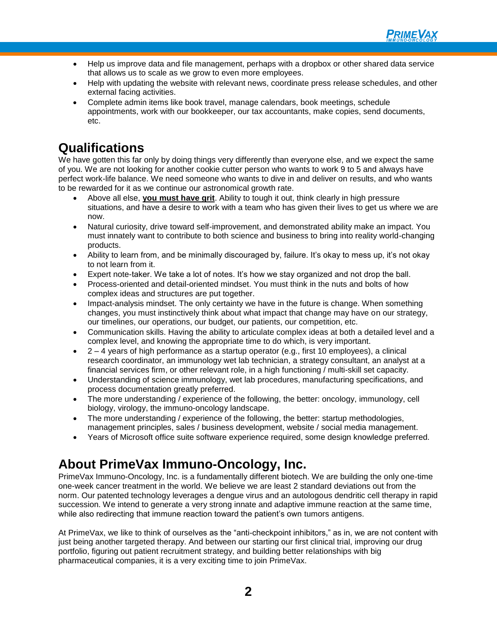

- Help us improve data and file management, perhaps with a dropbox or other shared data service that allows us to scale as we grow to even more employees.
- Help with updating the website with relevant news, coordinate press release schedules, and other external facing activities.
- Complete admin items like book travel, manage calendars, book meetings, schedule appointments, work with our bookkeeper, our tax accountants, make copies, send documents, etc.

# **Qualifications**

We have gotten this far only by doing things very differently than everyone else, and we expect the same of you. We are not looking for another cookie cutter person who wants to work 9 to 5 and always have perfect work-life balance. We need someone who wants to dive in and deliver on results, and who wants to be rewarded for it as we continue our astronomical growth rate.

- Above all else, **you must have grit**. Ability to tough it out, think clearly in high pressure situations, and have a desire to work with a team who has given their lives to get us where we are now.
- Natural curiosity, drive toward self-improvement, and demonstrated ability make an impact. You must innately want to contribute to both science and business to bring into reality world-changing products.
- Ability to learn from, and be minimally discouraged by, failure. It's okay to mess up, it's not okay to not learn from it.
- Expert note-taker. We take a lot of notes. It's how we stay organized and not drop the ball.
- Process-oriented and detail-oriented mindset. You must think in the nuts and bolts of how complex ideas and structures are put together.
- Impact-analysis mindset. The only certainty we have in the future is change. When something changes, you must instinctively think about what impact that change may have on our strategy, our timelines, our operations, our budget, our patients, our competition, etc.
- Communication skills. Having the ability to articulate complex ideas at both a detailed level and a complex level, and knowing the appropriate time to do which, is very important.
- 2 4 years of high performance as a startup operator (e.g., first 10 employees), a clinical research coordinator, an immunology wet lab technician, a strategy consultant, an analyst at a financial services firm, or other relevant role, in a high functioning / multi-skill set capacity.
- Understanding of science immunology, wet lab procedures, manufacturing specifications, and process documentation greatly preferred.
- The more understanding / experience of the following, the better: oncology, immunology, cell biology, virology, the immuno-oncology landscape.
- The more understanding / experience of the following, the better: startup methodologies, management principles, sales / business development, website / social media management.
- Years of Microsoft office suite software experience required, some design knowledge preferred.

# **About PrimeVax Immuno-Oncology, Inc.**

PrimeVax Immuno-Oncology, Inc. is a fundamentally different biotech. We are building the only one-time one-week cancer treatment in the world. We believe we are least 2 standard deviations out from the norm. Our patented technology leverages a dengue virus and an autologous dendritic cell therapy in rapid succession. We intend to generate a very strong innate and adaptive immune reaction at the same time, while also redirecting that immune reaction toward the patient's own tumors antigens.

At PrimeVax, we like to think of ourselves as the "anti-checkpoint inhibitors," as in, we are not content with just being another targeted therapy. And between our starting our first clinical trial, improving our drug portfolio, figuring out patient recruitment strategy, and building better relationships with big pharmaceutical companies, it is a very exciting time to join PrimeVax.